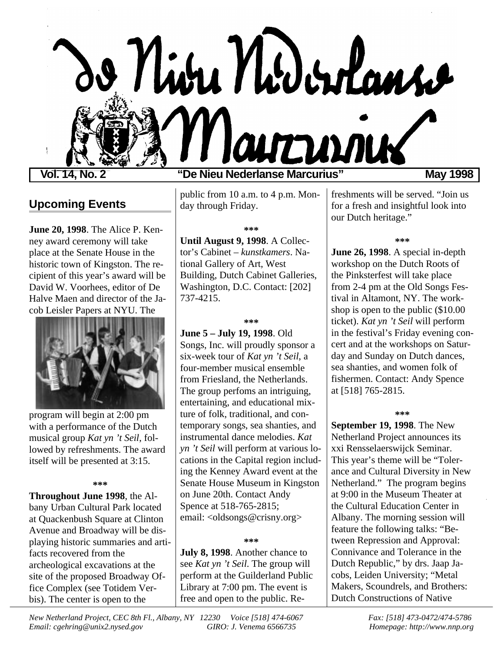

### **Vol. 14, No. 2 "De Nieu Nederlanse Marcurius" May 1998**

# **Upcoming Events**

**June 20, 1998**. The Alice P. Kenney award ceremony will take place at the Senate House in the historic town of Kingston. The recipient of this year's award will be David W. Voorhees, editor of De Halve Maen and director of the Jacob Leisler Papers at NYU. The



program will begin at 2:00 pm with a performance of the Dutch musical group *Kat yn 't Seil*, followed by refreshments. The award itself will be presented at 3:15.

**\*\*\***

**Throughout June 1998**, the Albany Urban Cultural Park located at Quackenbush Square at Clinton Avenue and Broadway will be displaying historic summaries and artifacts recovered from the archeological excavations at the site of the proposed Broadway Office Complex (see Totidem Verbis). The center is open to the

public from 10 a.m. to 4 p.m. Monday through Friday.

**\*\*\***

**Until August 9, 1998**. A Collector's Cabinet – *kunstkamers*. National Gallery of Art, West Building, Dutch Cabinet Galleries, Washington, D.C. Contact: [202] 737-4215.

**\*\*\***

**June 5 – July 19, 1998**. Old Songs, Inc. will proudly sponsor a six-week tour of *Kat yn 't Seil*, a four-member musical ensemble from Friesland, the Netherlands. The group perfoms an intriguing, entertaining, and educational mixture of folk, traditional, and contemporary songs, sea shanties, and instrumental dance melodies. *Kat yn 't Seil* will perform at various locations in the Capital region including the Kenney Award event at the Senate House Museum in Kingston on June 20th. Contact Andy Spence at 518-765-2815; email: <oldsongs@crisny.org>

### **\*\*\***

**July 8, 1998**. Another chance to see *Kat yn 't Seil*. The group will perform at the Guilderland Public Library at 7:00 pm. The event is free and open to the public. Refreshments will be served. "Join us for a fresh and insightful look into our Dutch heritage."

#### **\*\*\***

**June 26, 1998**. A special in-depth workshop on the Dutch Roots of the Pinksterfest will take place from 2-4 pm at the Old Songs Festival in Altamont, NY. The workshop is open to the public (\$10.00 ticket). *Kat yn 't Seil* will perform in the festival's Friday evening concert and at the workshops on Saturday and Sunday on Dutch dances, sea shanties, and women folk of fishermen. Contact: Andy Spence at [518] 765-2815.

#### **\*\*\***

**September 19, 1998**. The New Netherland Project announces its xxi Rensselaerswijck Seminar. This year's theme will be "Tolerance and Cultural Diversity in New Netherland." The program begins at 9:00 in the Museum Theater at the Cultural Education Center in Albany. The morning session will feature the following talks: "Between Repression and Approval: Connivance and Tolerance in the Dutch Republic," by drs. Jaap Jacobs, Leiden University; "Metal Makers, Scoundrels, and Brothers: Dutch Constructions of Native

*New Netherland Project, CEC 8th Fl., Albany, NY 12230 Voice [518] 474-6067 Fax: [518] 473-0472/474-5786 Email: cgehring@unix2.nysed.gov GIRO: J. Venema 6566735 Homepage: http://www.nnp.org*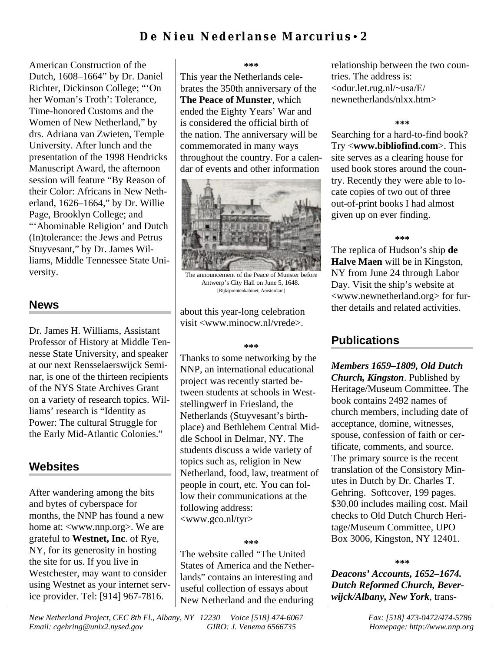American Construction of the Dutch, 1608–1664" by Dr. Daniel Richter, Dickinson College; "'On her Woman's Troth': Tolerance, Time-honored Customs and the Women of New Netherland," by drs. Adriana van Zwieten, Temple University. After lunch and the presentation of the 1998 Hendricks Manuscript Award, the afternoon session will feature "By Reason of their Color: Africans in New Netherland, 1626–1664," by Dr. Willie Page, Brooklyn College; and "'Abominable Religion' and Dutch (In)tolerance: the Jews and Petrus Stuyvesant," by Dr. James Williams, Middle Tennessee State University.

### **News**

Dr. James H. Williams, Assistant Professor of History at Middle Tennesse State University, and speaker at our next Rensselaerswijck Seminar, is one of the thirteen recipients of the NYS State Archives Grant on a variety of research topics. Williams' research is "Identity as Power: The cultural Struggle for the Early Mid-Atlantic Colonies."

# **Websites**

After wandering among the bits and bytes of cyberspace for months, the NNP has found a new home at: <www.nnp.org>. We are grateful to **Westnet, Inc**. of Rye, NY, for its generosity in hosting the site for us. If you live in Westchester, may want to consider using Westnet as your internet service provider. Tel: [914] 967-7816.

#### **\*\*\***

This year the Netherlands celebrates the 350th anniversary of the **The Peace of Munster**, which ended the Eighty Years' War and is considered the official birth of the nation. The anniversary will be commemorated in many ways throughout the country. For a calendar of events and other information



The announcement of the Peace of Munster before Antwerp's City Hall on June 5, 1648. [Rijksprentenkabinet, Amsterdam]

about this year-long celebration visit <www.minocw.nl/vrede>.

#### **\*\*\***

Thanks to some networking by the NNP, an international educational project was recently started between students at schools in Weststellingwerf in Friesland, the Netherlands (Stuyvesant's birthplace) and Bethlehem Central Middle School in Delmar, NY. The students discuss a wide variety of topics such as, religion in New Netherland, food, law, treatment of people in court, etc. You can follow their communications at the following address: <www.gco.nl/tyr>

### **\*\*\***

The website called "The United States of America and the Netherlands" contains an interesting and useful collection of essays about New Netherland and the enduring relationship between the two countries. The address is: <odur.let.rug.nl/~usa/E/ newnetherlands/nlxx.htm>

### **\*\*\***

Searching for a hard-to-find book? Try <**www.bibliofind.com**>. This site serves as a clearing house for used book stores around the country. Recently they were able to locate copies of two out of three out-of-print books I had almost given up on ever finding.

### **\*\*\***

The replica of Hudson's ship **de Halve Maen** will be in Kingston, NY from June 24 through Labor Day. Visit the ship's website at <www.newnetherland.org> for further details and related activities.

### **Publications**

*Members 1659–1809, Old Dutch Church, Kingston*. Published by Heritage/Museum Committee. The book contains 2492 names of church members, including date of acceptance, domine, witnesses, spouse, confession of faith or certificate, comments, and source. The primary source is the recent translation of the Consistory Minutes in Dutch by Dr. Charles T. Gehring. Softcover, 199 pages. \$30.00 includes mailing cost. Mail checks to Old Dutch Church Heritage/Museum Committee, UPO Box 3006, Kingston, NY 12401.

#### **\*\*\***

*Deacons' Accounts, 1652–1674. Dutch Reformed Church, Beverwijck/Albany, New York*, trans-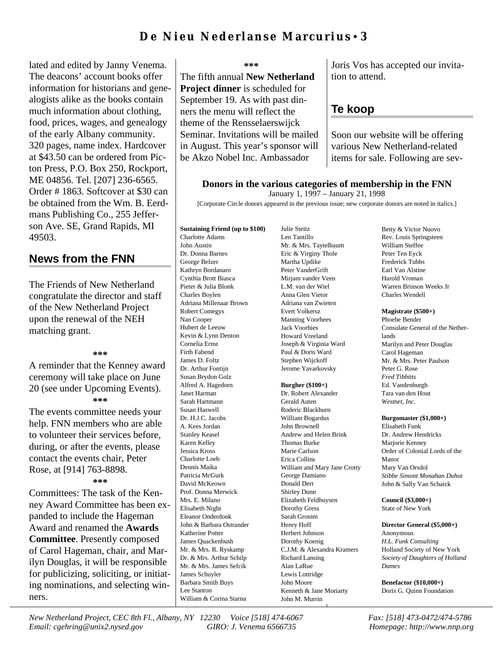# **De Nieu Nederlanse Marcurius**• **3**

lated and edited by Janny Venema. The deacons' account books offer information for historians and genealogists alike as the books contain much information about clothing, food, prices, wages, and genealogy of the early Albany community. 320 pages, name index. Hardcover at \$43.50 can be ordered from Picton Press, P.O. Box 250, Rockport, ME 04856. Tel. [207] 236-6565. Order # 1863. Softcover at \$30 can be obtained from the Wm. B. Eerdmans Publishing Co., 255 Jefferson Ave. SE, Grand Rapids, MI 49503.

### **News from the FNN**

The Friends of New Netherland congratulate the director and staff of the New Netherland Project upon the renewal of the NEH matching grant.

**\*\*\***

A reminder that the Kenney award ceremony will take place on June 20 (see under Upcoming Events). **\*\*\***

The events committee needs your help. FNN members who are able to volunteer their services before, during, or after the events, please contact the events chair, Peter Rose, at [914] 763-8898.

**\*\*\***

Committees: The task of the Kenney Award Committee has been expanded to include the Hageman Award and renamed the **Awards Committee**. Presently composed of Carol Hageman, chair, and Marilyn Douglas, it will be responsible for publicizing, soliciting, or initiating nominations, and selecting winners.

**\*\*\***

The fifth annual **New Netherland Project dinner** is scheduled for September 19. As with past dinners the menu will reflect the theme of the Rensselaerswijck Seminar. Invitations will be mailed in August. This year's sponsor will be Akzo Nobel Inc. Ambassador

Joris Vos has accepted our invitation to attend.

### **Te koop**

Soon our website will be offering various New Netherland-related items for sale. Following are sev-

### **Donors in the various categories of membership in the FNN**

January 1, 1997 – January 21, 1998

[Corporate Circle donors appeared in the previous issue; new corporate donors are noted in italics.]

#### **Sustaining Friend (up to \$100)** Charlotte Adams

John Austin Dr. Donna Barnes George Belzer Kathryn Bordanaro Cynthia Brott Biasca Pieter & Julia Blonk Charles Boylen Adriana Millenaar Brown Robert Comegys Nan Cooper Hubert de Leeuw Kevin & Lynn Denton Cornelia Ernst Firth Fabend James D. Foltz Dr. Arthur Fontijn Susan Brydon Golz Alfred A. Hagedorn Janet Harman Sarah Hartmann Susan Haswell Dr. H.J.C. Jacobs A. Kees Jordan Stanley Keasel Karen Kelley Jessica Kross Charlotte Loeb Dennis Maika Patricia McGurk David McKeown Prof. Donna Merwick Mrs. E. Milano Elisabeth Night Eleanor Onderdonk John & Barbara Ostrander Katherine Potter James Quackenbush Mr. & Mrs. R. Ryskamp Dr. & Mrs. Arthur Schilp Mr. & Mrs. James Sefcik James Schuyler Barbara Smith Buys Lee Stanton William & Corina Starna

Len Tantillo Mr. & Mrs. Taytelbaum Eric & Virginy Thole Martha Updike Peter VanderGrift Mirjam vander Veen L.M. van der Wiel Anna Glen Vietor Adriana van Zwieten Evert Volkersz Manning Voorhees Jack Voorhies Howard Vreeland Joseph & Virginia Ward Paul & Doris Ward Stephen Wijckoff Jerome Yavarkovsky

Julie Steitz

#### **Burgher (\$100+)**

Dr. Robert Alexander Gerald Auten Roderic Blackburn William Bogardus John Brownell Andrew and Helen Brink Thomas Burke Marie Carlson Erica Collins William and Mary Jane Crotty George Damiano Donald Derr Shirley Dunn Elizabeth Feldhuysen Dorothy Gress Sarah Gronim Henry Hoff Herbert Johnson Dorothy Koenig C.J.M. & Alexandra Kramers Richard Lansing Alan LaRue Lewis Lottridge John Moore Kenneth & Jane Moriarty John M. Murrin

Betty & Victor Nuovo Rev. Louis Springsteen William Steffee Peter Ten Eyck Frederick Tubbs Earl Van Alstine Harold Vroman Warren Brinson Weeks Jr Charles Wendell

#### **Magistrate (\$500+)**

Phoebe Bender Consulate General of the Netherlands Marilyn and Peter Douglas Carol Hageman Mr. & Mrs. Peter Paulson Peter G. Rose *Fred Tibbitts* Ed. Vandenburgh Tara van den Hout *Westnet, Inc.*

**Burgomaster (\$1,000+)**

Elisabeth Funk Dr. Andrew Hendricks Marjorie Kenney Order of Colonial Lords of the Manor Mary Van Orsdol *Stibbe Simont Monahan Duhot* John & Sally Van Schaick

**Council (\$3,000+)** State of New York

**Director General (\$5,000+)** Anonymous *H.L. Funk Consulting* Holland Society of New York *Society of Daughters of Holland Dames*

**Benefactor (\$10,000+)** Doris G. Quinn Foundation